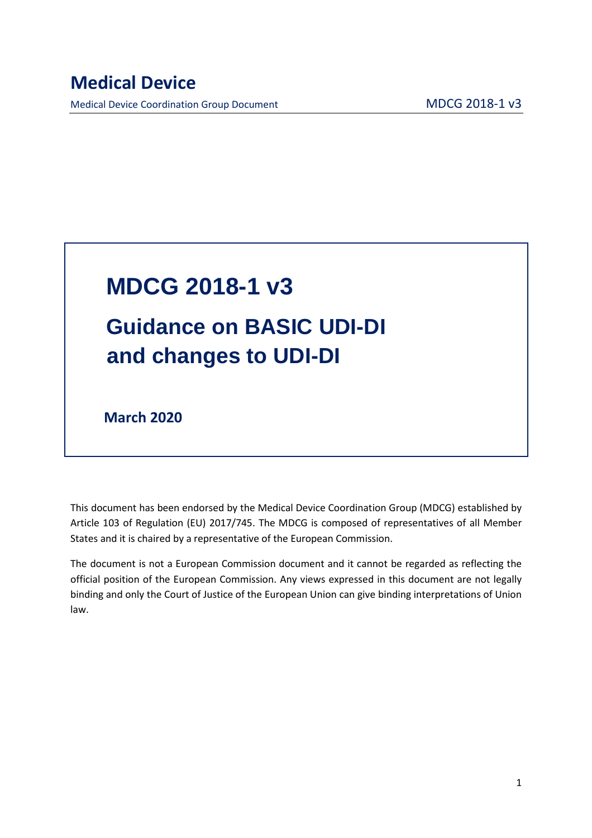# **MDCG 2018-1 v3 Guidance on BASIC UDI-DI and changes to UDI-DI**

 **March 2020** 

This document has been endorsed by the Medical Device Coordination Group (MDCG) established by Article 103 of Regulation (EU) 2017/745. The MDCG is composed of representatives of all Member States and it is chaired by a representative of the European Commission.

The document is not a European Commission document and it cannot be regarded as reflecting the official position of the European Commission. Any views expressed in this document are not legally binding and only the Court of Justice of the European Union can give binding interpretations of Union law.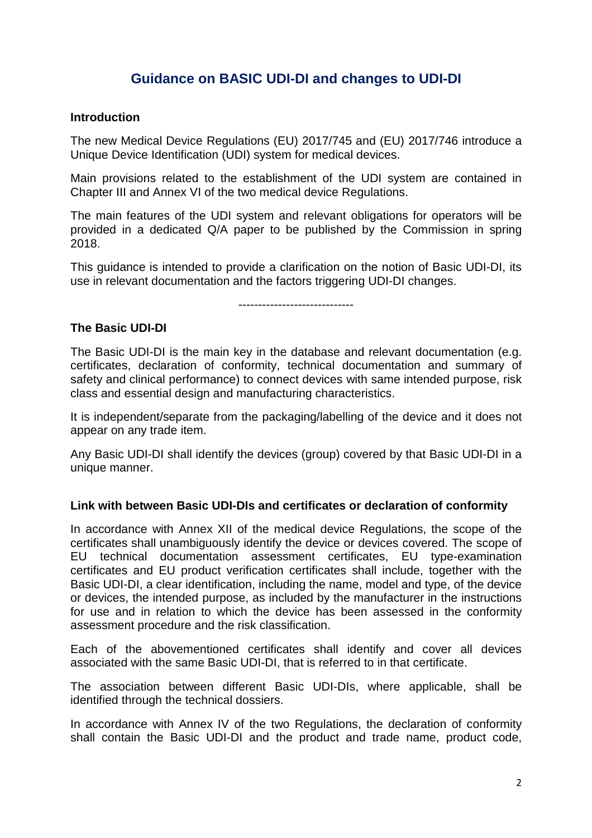## **Guidance on BASIC UDI-DI and changes to UDI-DI**

#### **Introduction**

The new Medical Device Regulations (EU) 2017/745 and (EU) 2017/746 introduce a Unique Device Identification (UDI) system for medical devices.

Main provisions related to the establishment of the UDI system are contained in Chapter III and Annex VI of the two medical device Regulations.

The main features of the UDI system and relevant obligations for operators will be provided in a dedicated Q/A paper to be published by the Commission in spring 2018.

This guidance is intended to provide a clarification on the notion of Basic UDI-DI, its use in relevant documentation and the factors triggering UDI-DI changes.

-----------------------------

#### **The Basic UDI-DI**

The Basic UDI-DI is the main key in the database and relevant documentation (e.g. certificates, declaration of conformity, technical documentation and summary of safety and clinical performance) to connect devices with same intended purpose, risk class and essential design and manufacturing characteristics.

It is independent/separate from the packaging/labelling of the device and it does not appear on any trade item.

Any Basic UDI-DI shall identify the devices (group) covered by that Basic UDI-DI in a unique manner.

#### **Link with between Basic UDI-DIs and certificates or declaration of conformity**

In accordance with Annex XII of the medical device Regulations, the scope of the certificates shall unambiguously identify the device or devices covered. The scope of EU technical documentation assessment certificates, EU type-examination certificates and EU product verification certificates shall include, together with the Basic UDI-DI, a clear identification, including the name, model and type, of the device or devices, the intended purpose, as included by the manufacturer in the instructions for use and in relation to which the device has been assessed in the conformity assessment procedure and the risk classification.

Each of the abovementioned certificates shall identify and cover all devices associated with the same Basic UDI-DI, that is referred to in that certificate.

The association between different Basic UDI-DIs, where applicable, shall be identified through the technical dossiers.

In accordance with Annex IV of the two Regulations, the declaration of conformity shall contain the Basic UDI-DI and the product and trade name, product code,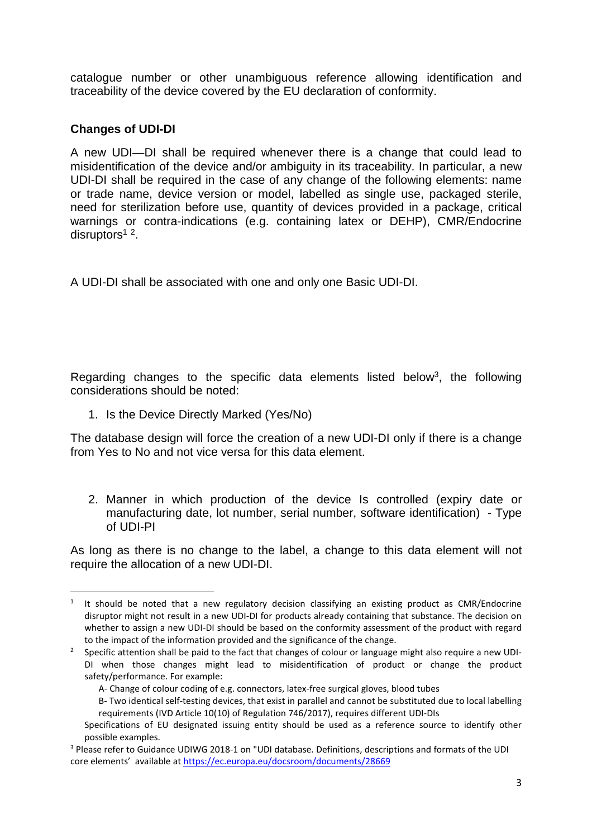catalogue number or other unambiguous reference allowing identification and traceability of the device covered by the EU declaration of conformity.

### **Changes of UDI-DI**

 $\ddot{\phantom{a}}$ 

A new UDI—DI shall be required whenever there is a change that could lead to misidentification of the device and/or ambiguity in its traceability. In particular, a new UDI-DI shall be required in the case of any change of the following elements: name or trade name, device version or model, labelled as single use, packaged sterile, need for sterilization before use, quantity of devices provided in a package, critical warnings or contra-indications (e.g. containing latex or DEHP), CMR/Endocrine disruptors<sup>1</sup><sup>2</sup>.

A UDI-DI shall be associated with one and only one Basic UDI-DI.

Regarding changes to the specific data elements listed below<sup>3</sup>, the following considerations should be noted:

1. Is the Device Directly Marked (Yes/No)

The database design will force the creation of a new UDI-DI only if there is a change from Yes to No and not vice versa for this data element.

2. Manner in which production of the device Is controlled (expiry date or manufacturing date, lot number, serial number, software identification) - Type of UDI-PI

As long as there is no change to the label, a change to this data element will not require the allocation of a new UDI-DI.

<sup>&</sup>lt;sup>1</sup> It should be noted that a new regulatory decision classifying an existing product as CMR/Endocrine disruptor might not result in a new UDI-DI for products already containing that substance. The decision on whether to assign a new UDI-DI should be based on the conformity assessment of the product with regard

to the impact of the information provided and the significance of the change.<br><sup>2</sup> Specific attention shall be paid to the fact that changes of colour or language might also require a new UDI-DI when those changes might lead to misidentification of product or change the product safety/performance. For example:

A- Change of colour coding of e.g. connectors, latex-free surgical gloves, blood tubes

B- Two identical self-testing devices, that exist in parallel and cannot be substituted due to local labelling requirements (IVD Article 10(10) of Regulation 746/2017), requires different UDI-DIs

Specifications of EU designated issuing entity should be used as a reference source to identify other

possible examples.<br><sup>3</sup> Please refer to Guidance UDIWG 2018-1 on "UDI database. Definitions, descriptions and formats of the UDI core elements' available at https://ec.europa.eu/docsroom/documents/28669